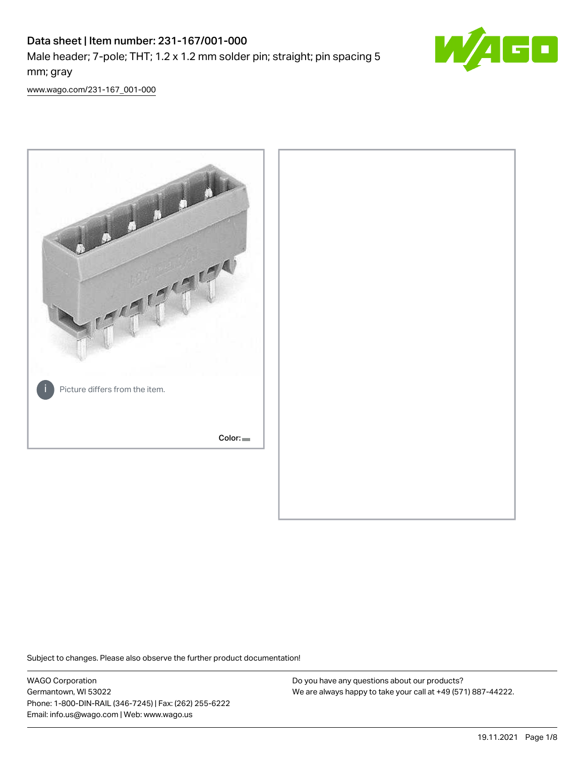# Data sheet | Item number: 231-167/001-000 Male header; 7-pole; THT; 1.2 x 1.2 mm solder pin; straight; pin spacing 5 mm; gray



[www.wago.com/231-167\\_001-000](http://www.wago.com/231-167_001-000)



Subject to changes. Please also observe the further product documentation!

WAGO Corporation Germantown, WI 53022 Phone: 1-800-DIN-RAIL (346-7245) | Fax: (262) 255-6222 Email: info.us@wago.com | Web: www.wago.us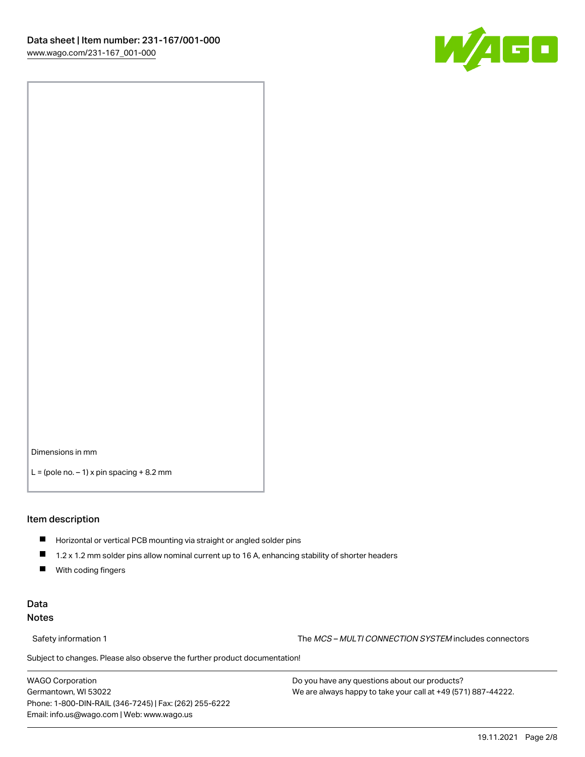

Dimensions in mm

 $L =$  (pole no.  $-1$ ) x pin spacing  $+8.2$  mm

#### Item description

- **Horizontal or vertical PCB mounting via straight or angled solder pins**
- 1.2 x 1.2 mm solder pins allow nominal current up to 16 A, enhancing stability of shorter headers
- $\blacksquare$ With coding fingers

#### Data Notes

Safety information 1 The MCS – MULTI CONNECTION SYSTEM includes connectors

Subject to changes. Please also observe the further product documentation!  $\nu$ 

WAGO Corporation Germantown, WI 53022 Phone: 1-800-DIN-RAIL (346-7245) | Fax: (262) 255-6222 Email: info.us@wago.com | Web: www.wago.us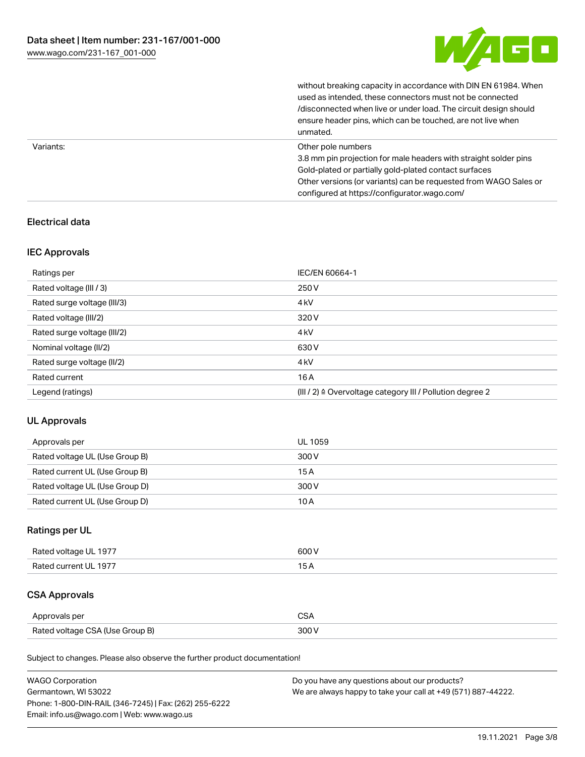

without breaking capacity in accordance with DIN EN 61984. When

|           | used as intended, these connectors must not be connected<br>/disconnected when live or under load. The circuit design should<br>ensure header pins, which can be touched, are not live when<br>unmated.                                                             |
|-----------|---------------------------------------------------------------------------------------------------------------------------------------------------------------------------------------------------------------------------------------------------------------------|
| Variants: | Other pole numbers<br>3.8 mm pin projection for male headers with straight solder pins<br>Gold-plated or partially gold-plated contact surfaces<br>Other versions (or variants) can be requested from WAGO Sales or<br>configured at https://configurator.wago.com/ |

## Electrical data

#### IEC Approvals

| Ratings per                 | IEC/EN 60664-1                                                        |
|-----------------------------|-----------------------------------------------------------------------|
| Rated voltage (III / 3)     | 250 V                                                                 |
| Rated surge voltage (III/3) | 4 <sub>k</sub> V                                                      |
| Rated voltage (III/2)       | 320 V                                                                 |
| Rated surge voltage (III/2) | 4 <sub>k</sub> V                                                      |
| Nominal voltage (II/2)      | 630 V                                                                 |
| Rated surge voltage (II/2)  | 4 <sub>kV</sub>                                                       |
| Rated current               | 16A                                                                   |
| Legend (ratings)            | $(III / 2)$ $\triangle$ Overvoltage category III / Pollution degree 2 |

#### UL Approvals

| Approvals per                  | UL 1059 |
|--------------------------------|---------|
| Rated voltage UL (Use Group B) | 300 V   |
| Rated current UL (Use Group B) | 15A     |
| Rated voltage UL (Use Group D) | 300 V   |
| Rated current UL (Use Group D) | 10A     |

## Ratings per UL

| Rated voltage UL 1977 | 600 V |
|-----------------------|-------|
| Rated current UL 1977 |       |

## CSA Approvals

| Approvals per                   |  |
|---------------------------------|--|
| Rated voltage CSA (Use Group B) |  |

Subject to changes. Please also observe the further product documentation!

| <b>WAGO Corporation</b>                                | Do you have any questions about our products?                 |
|--------------------------------------------------------|---------------------------------------------------------------|
| Germantown, WI 53022                                   | We are always happy to take your call at +49 (571) 887-44222. |
| Phone: 1-800-DIN-RAIL (346-7245)   Fax: (262) 255-6222 |                                                               |
| Email: info.us@wago.com   Web: www.wago.us             |                                                               |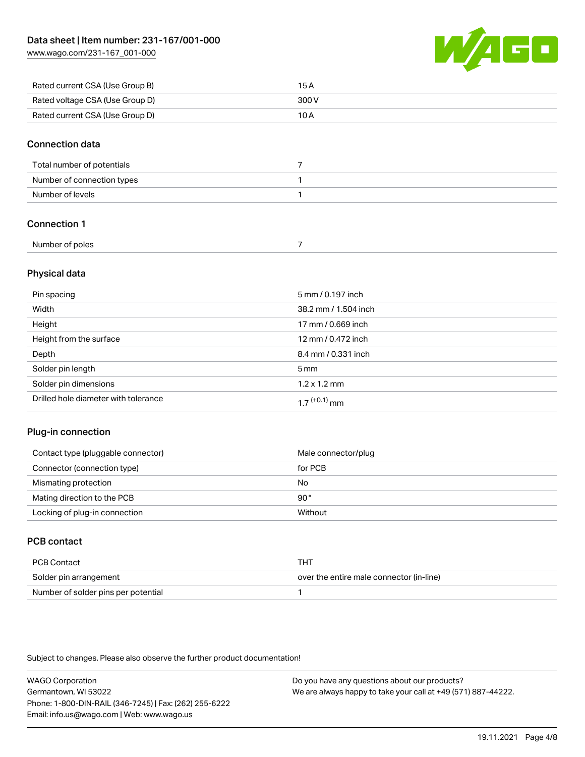[www.wago.com/231-167\\_001-000](http://www.wago.com/231-167_001-000)



| Rated current CSA (Use Group B) | 15 A  |
|---------------------------------|-------|
| Rated voltage CSA (Use Group D) | 300 V |
| Rated current CSA (Use Group D) | 10 A  |

#### Connection data

| Total number of potentials |  |
|----------------------------|--|
| Number of connection types |  |
| Number of levels           |  |

#### Connection 1

| Number of poles |  |
|-----------------|--|
|                 |  |

#### Physical data

| Pin spacing                          | 5 mm / 0.197 inch           |
|--------------------------------------|-----------------------------|
| Width                                | 38.2 mm / 1.504 inch        |
| Height                               | 17 mm / 0.669 inch          |
| Height from the surface              | 12 mm / 0.472 inch          |
| Depth                                | 8.4 mm / 0.331 inch         |
| Solder pin length                    | 5 <sub>mm</sub>             |
| Solder pin dimensions                | $1.2 \times 1.2 \text{ mm}$ |
| Drilled hole diameter with tolerance | $17^{(+0.1)}$ mm            |

#### Plug-in connection

| Contact type (pluggable connector) | Male connector/plug |
|------------------------------------|---------------------|
| Connector (connection type)        | for PCB             |
| Mismating protection               | No                  |
| Mating direction to the PCB        | 90°                 |
| Locking of plug-in connection      | Without             |

## PCB contact

| PCB Contact                         | THT                                      |
|-------------------------------------|------------------------------------------|
| Solder pin arrangement              | over the entire male connector (in-line) |
| Number of solder pins per potential |                                          |

Subject to changes. Please also observe the further product documentation!

WAGO Corporation Germantown, WI 53022 Phone: 1-800-DIN-RAIL (346-7245) | Fax: (262) 255-6222 Email: info.us@wago.com | Web: www.wago.us Do you have any questions about our products? We are always happy to take your call at +49 (571) 887-44222.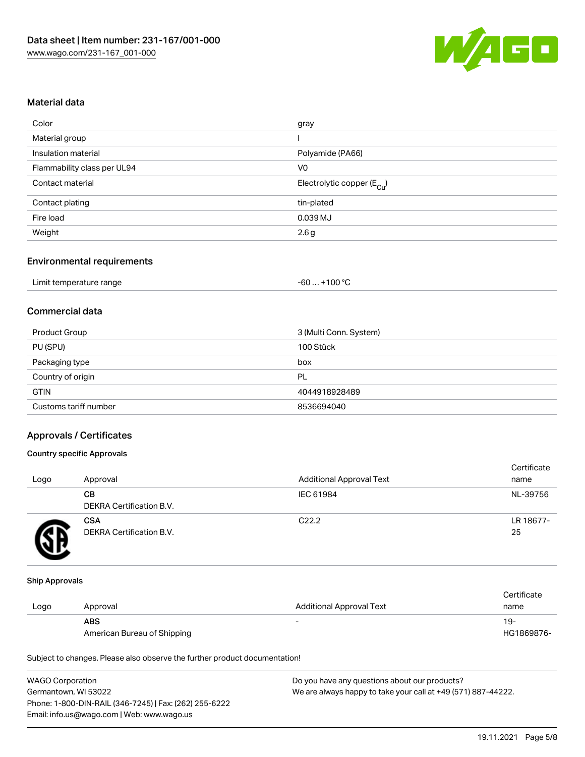

#### Material data

| Color                       | gray                                   |
|-----------------------------|----------------------------------------|
| Material group              |                                        |
| Insulation material         | Polyamide (PA66)                       |
| Flammability class per UL94 | V0                                     |
| Contact material            | Electrolytic copper (E <sub>Cu</sub> ) |
| Contact plating             | tin-plated                             |
| Fire load                   | 0.039 MJ                               |
| Weight                      | 2.6g                                   |
|                             |                                        |

#### Environmental requirements

| Limit temperature range | $+100 °C$<br>-60 |
|-------------------------|------------------|
|-------------------------|------------------|

## Commercial data

| Product Group         | 3 (Multi Conn. System) |
|-----------------------|------------------------|
| PU (SPU)              | 100 Stück              |
| Packaging type        | box                    |
| Country of origin     | PL                     |
| <b>GTIN</b>           | 4044918928489          |
| Customs tariff number | 8536694040             |

#### Approvals / Certificates

#### Country specific Approvals

| Logo | Approval                               | <b>Additional Approval Text</b> | Certificate<br>name |
|------|----------------------------------------|---------------------------------|---------------------|
|      | CВ<br>DEKRA Certification B.V.         | IEC 61984                       | NL-39756            |
|      | <b>CSA</b><br>DEKRA Certification B.V. | C <sub>22.2</sub>               | LR 18677-<br>25     |

#### Ship Approvals

|      |                             |                          | Certificate |
|------|-----------------------------|--------------------------|-------------|
| Logo | Approval                    | Additional Approval Text | name        |
|      | ABS                         | $\overline{\phantom{0}}$ | 19-         |
|      | American Bureau of Shipping |                          | HG1869876-  |

Subject to changes. Please also observe the further product documentation!

| <b>WAGO Corporation</b>                                | Do you have any questions about our products?                 |
|--------------------------------------------------------|---------------------------------------------------------------|
| Germantown, WI 53022                                   | We are always happy to take your call at +49 (571) 887-44222. |
| Phone: 1-800-DIN-RAIL (346-7245)   Fax: (262) 255-6222 |                                                               |
| Email: info.us@wago.com   Web: www.wago.us             |                                                               |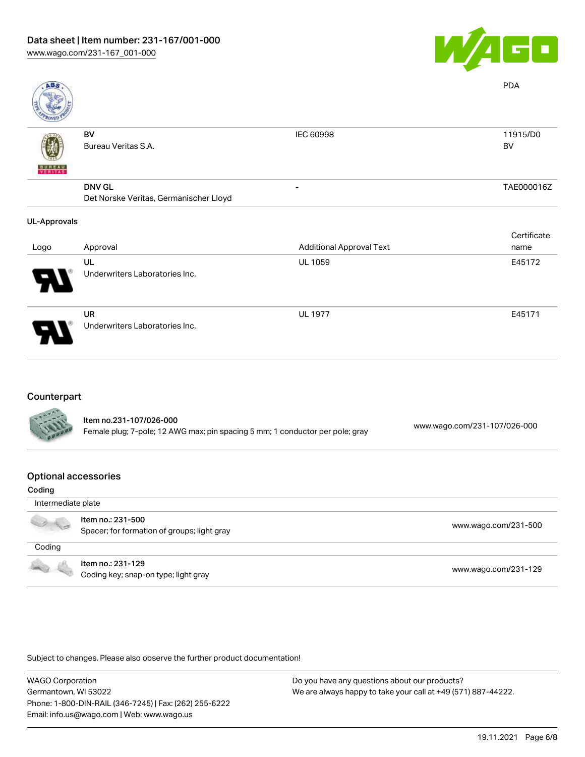

| ABS                 |                                        |                                 | <b>PDA</b>  |
|---------------------|----------------------------------------|---------------------------------|-------------|
|                     | BV                                     | IEC 60998                       | 11915/D0    |
|                     | Bureau Veritas S.A.                    |                                 | BV          |
| <b>BUNEAU</b>       |                                        |                                 |             |
|                     | <b>DNV GL</b>                          | $\overline{\phantom{a}}$        | TAE000016Z  |
|                     | Det Norske Veritas, Germanischer Lloyd |                                 |             |
| <b>UL-Approvals</b> |                                        |                                 |             |
|                     |                                        |                                 | Certificate |
| Logo                | Approval                               | <b>Additional Approval Text</b> | name        |
|                     | UL                                     | <b>UL 1059</b>                  | E45172      |
|                     | Underwriters Laboratories Inc.         |                                 |             |
|                     | <b>UR</b>                              | <b>UL 1977</b>                  | E45171      |
|                     | Underwriters Laboratories Inc.         |                                 |             |

#### Counterpart

| <b>CARL AND</b> | Item no.231-107/026-000<br>Female plug; 7-pole; 12 AWG max; pin spacing 5 mm; 1 conductor per pole; gray | www.wago.com/231-107/026-000 |  |
|-----------------|----------------------------------------------------------------------------------------------------------|------------------------------|--|
|                 |                                                                                                          |                              |  |

#### Optional accessories

| Coding             |                                                                  |                      |
|--------------------|------------------------------------------------------------------|----------------------|
| Intermediate plate |                                                                  |                      |
| 00                 | Item no.: 231-500<br>Spacer; for formation of groups; light gray | www.wago.com/231-500 |
| Coding             |                                                                  |                      |
|                    | Item no.: 231-129<br>Coding key; snap-on type; light gray        | www.wago.com/231-129 |

Subject to changes. Please also observe the further product documentation!

WAGO Corporation Germantown, WI 53022 Phone: 1-800-DIN-RAIL (346-7245) | Fax: (262) 255-6222 Email: info.us@wago.com | Web: www.wago.us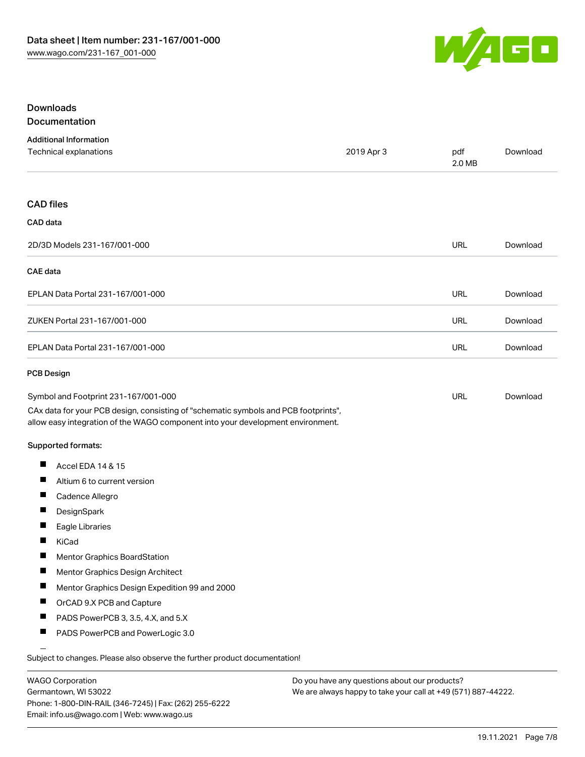

#### Downloads Documentation

|  |  |  | <u>,,,,,,,,,,,,,,,,,,,,,,,</u> |  |
|--|--|--|--------------------------------|--|
|  |  |  |                                |  |
|  |  |  |                                |  |
|  |  |  |                                |  |

| <b>Additional Information</b><br>Technical explanations                                                                                                                | 2019 Apr 3 | pdf<br>2.0 MB | Download |
|------------------------------------------------------------------------------------------------------------------------------------------------------------------------|------------|---------------|----------|
| <b>CAD files</b>                                                                                                                                                       |            |               |          |
| CAD data                                                                                                                                                               |            |               |          |
| 2D/3D Models 231-167/001-000                                                                                                                                           |            | <b>URL</b>    | Download |
| CAE data                                                                                                                                                               |            |               |          |
| EPLAN Data Portal 231-167/001-000                                                                                                                                      |            | <b>URL</b>    | Download |
| ZUKEN Portal 231-167/001-000                                                                                                                                           |            | <b>URL</b>    | Download |
| EPLAN Data Portal 231-167/001-000                                                                                                                                      |            | <b>URL</b>    | Download |
| <b>PCB Design</b>                                                                                                                                                      |            |               |          |
| Symbol and Footprint 231-167/001-000                                                                                                                                   |            | URL           | Download |
| CAx data for your PCB design, consisting of "schematic symbols and PCB footprints",<br>allow easy integration of the WAGO component into your development environment. |            |               |          |
| Supported formats:                                                                                                                                                     |            |               |          |
| Ш<br>Accel EDA 14 & 15                                                                                                                                                 |            |               |          |
| ш<br>Altium 6 to current version                                                                                                                                       |            |               |          |
| ш<br>Cadence Allegro                                                                                                                                                   |            |               |          |
| DesignSpark                                                                                                                                                            |            |               |          |
| П<br>Eagle Libraries                                                                                                                                                   |            |               |          |
| H<br>KiCad                                                                                                                                                             |            |               |          |
| Mentor Graphics BoardStation                                                                                                                                           |            |               |          |
| ш<br>Mentor Graphics Design Architect                                                                                                                                  |            |               |          |
| Mentor Graphics Design Expedition 99 and 2000<br>ш                                                                                                                     |            |               |          |
| ш<br>OrCAD 9.X PCB and Capture                                                                                                                                         |            |               |          |
| ш<br>PADS PowerPCB 3, 3.5, 4.X, and 5.X                                                                                                                                |            |               |          |
| ш<br>PADS PowerPCB and PowerLogic 3.0                                                                                                                                  |            |               |          |
| Subject to changes. Please also observe the further product documentation!                                                                                             |            |               |          |